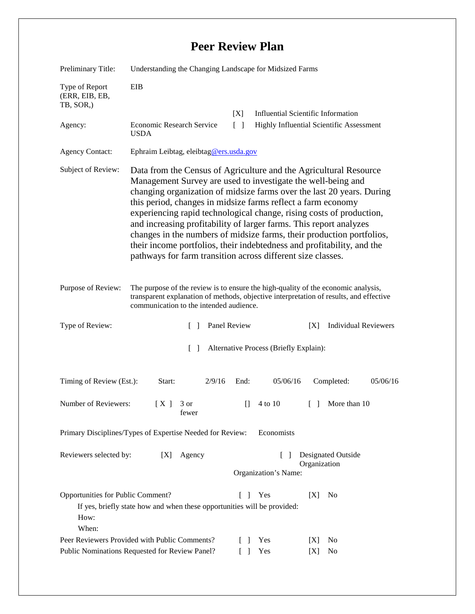## **Peer Review Plan**

| Preliminary Title:                                                                                                                                                                                                                           | Understanding the Changing Landscape for Midsized Farms                                                                                                                                                                                                                                                                                                                                                                                                                                                                                                                                                                                    |                                |                                                                                       |
|----------------------------------------------------------------------------------------------------------------------------------------------------------------------------------------------------------------------------------------------|--------------------------------------------------------------------------------------------------------------------------------------------------------------------------------------------------------------------------------------------------------------------------------------------------------------------------------------------------------------------------------------------------------------------------------------------------------------------------------------------------------------------------------------------------------------------------------------------------------------------------------------------|--------------------------------|---------------------------------------------------------------------------------------|
| Type of Report<br>(ERR, EIB, EB,<br>TB, SOR,)                                                                                                                                                                                                | EIB                                                                                                                                                                                                                                                                                                                                                                                                                                                                                                                                                                                                                                        |                                |                                                                                       |
| Agency:                                                                                                                                                                                                                                      | Economic Research Service<br><b>USDA</b>                                                                                                                                                                                                                                                                                                                                                                                                                                                                                                                                                                                                   | [X]<br>$\lceil \rceil$         | <b>Influential Scientific Information</b><br>Highly Influential Scientific Assessment |
| <b>Agency Contact:</b>                                                                                                                                                                                                                       | Ephraim Leibtag, eleibtag@ers.usda.gov                                                                                                                                                                                                                                                                                                                                                                                                                                                                                                                                                                                                     |                                |                                                                                       |
| Subject of Review:                                                                                                                                                                                                                           | Data from the Census of Agriculture and the Agricultural Resource<br>Management Survey are used to investigate the well-being and<br>changing organization of midsize farms over the last 20 years. During<br>this period, changes in midsize farms reflect a farm economy<br>experiencing rapid technological change, rising costs of production,<br>and increasing profitability of larger farms. This report analyzes<br>changes in the numbers of midsize farms, their production portfolios,<br>their income portfolios, their indebtedness and profitability, and the<br>pathways for farm transition across different size classes. |                                |                                                                                       |
| The purpose of the review is to ensure the high-quality of the economic analysis,<br>Purpose of Review:<br>transparent explanation of methods, objective interpretation of results, and effective<br>communication to the intended audience. |                                                                                                                                                                                                                                                                                                                                                                                                                                                                                                                                                                                                                                            |                                |                                                                                       |
| Type of Review:                                                                                                                                                                                                                              | $\Box$                                                                                                                                                                                                                                                                                                                                                                                                                                                                                                                                                                                                                                     | Panel Review                   | <b>Individual Reviewers</b><br>[X]                                                    |
| $\lceil \rceil$<br>Alternative Process (Briefly Explain):                                                                                                                                                                                    |                                                                                                                                                                                                                                                                                                                                                                                                                                                                                                                                                                                                                                            |                                |                                                                                       |
| Timing of Review (Est.):                                                                                                                                                                                                                     | 2/9/16<br>Start:                                                                                                                                                                                                                                                                                                                                                                                                                                                                                                                                                                                                                           | 05/06/16<br>End:               | 05/06/16<br>Completed:                                                                |
| Number of Reviewers:                                                                                                                                                                                                                         | [X]<br>3 or<br>fewer                                                                                                                                                                                                                                                                                                                                                                                                                                                                                                                                                                                                                       | $\Box$<br>4 to 10              | More than 10<br>$\Box$                                                                |
| Primary Disciplines/Types of Expertise Needed for Review:<br>Economists                                                                                                                                                                      |                                                                                                                                                                                                                                                                                                                                                                                                                                                                                                                                                                                                                                            |                                |                                                                                       |
| Reviewers selected by:                                                                                                                                                                                                                       | Agency<br>[X]                                                                                                                                                                                                                                                                                                                                                                                                                                                                                                                                                                                                                              | $\Box$<br>Organization's Name: | <b>Designated Outside</b><br>Organization                                             |
| Opportunities for Public Comment?<br>Yes<br>[X]<br>N <sub>0</sub><br>$\mathbf{I}$<br>If yes, briefly state how and when these opportunities will be provided:<br>How:<br>When:                                                               |                                                                                                                                                                                                                                                                                                                                                                                                                                                                                                                                                                                                                                            |                                |                                                                                       |
| Peer Reviewers Provided with Public Comments?<br>Public Nominations Requested for Review Panel?                                                                                                                                              |                                                                                                                                                                                                                                                                                                                                                                                                                                                                                                                                                                                                                                            | Yes<br>$\Box$<br>Yes<br>$\Box$ | N <sub>0</sub><br>[X]<br>No<br>[X]                                                    |